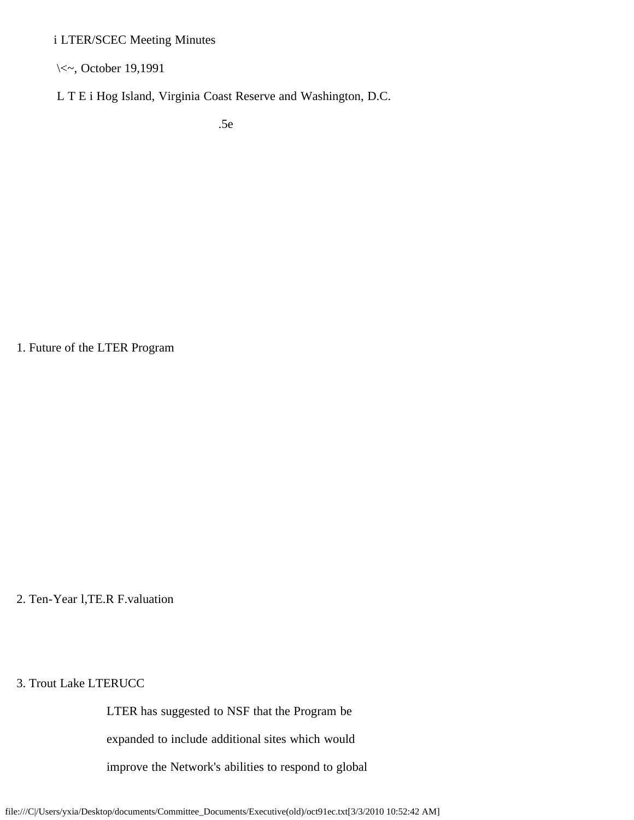i LTER/SCEC Meeting Minutes

\<~, October 19,1991

L T E i Hog Island, Virginia Coast Reserve and Washington, D.C.

.5e

1. Future of the LTER Program

2. Ten-Year l,TE.R F.valuation

3. Trout Lake LTERUCC

LTER has suggested to NSF that the Program be

expanded to include additional sites which would

improve the Network's abilities to respond to global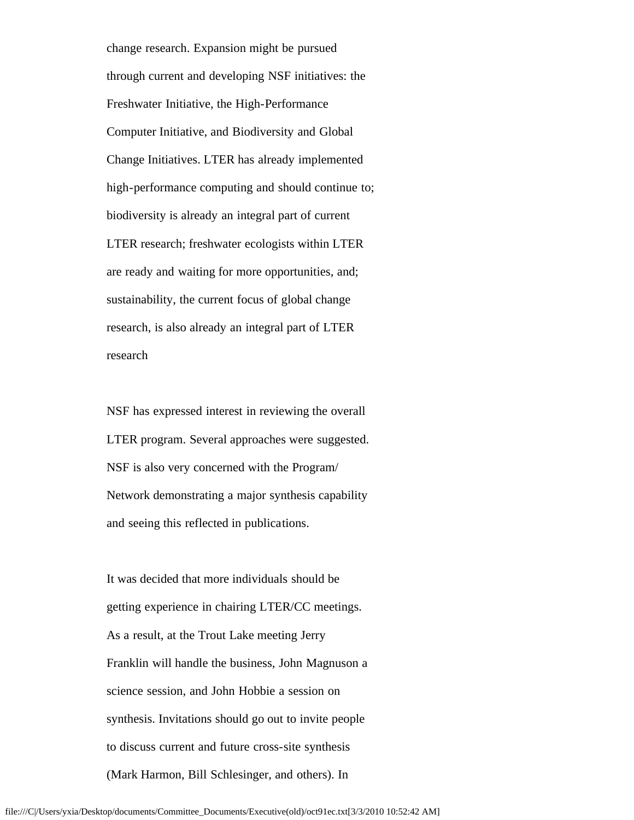change research. Expansion might be pursued through current and developing NSF initiatives: the Freshwater Initiative, the High-Performance Computer Initiative, and Biodiversity and Global Change Initiatives. LTER has already implemented high-performance computing and should continue to; biodiversity is already an integral part of current LTER research; freshwater ecologists within LTER are ready and waiting for more opportunities, and; sustainability, the current focus of global change research, is also already an integral part of LTER research

 NSF has expressed interest in reviewing the overall LTER program. Several approaches were suggested. NSF is also very concerned with the Program/ Network demonstrating a major synthesis capability and seeing this reflected in publications.

 It was decided that more individuals should be getting experience in chairing LTER/CC meetings. As a result, at the Trout Lake meeting Jerry Franklin will handle the business, John Magnuson a science session, and John Hobbie a session on synthesis. Invitations should go out to invite people to discuss current and future cross-site synthesis (Mark Harmon, Bill Schlesinger, and others). In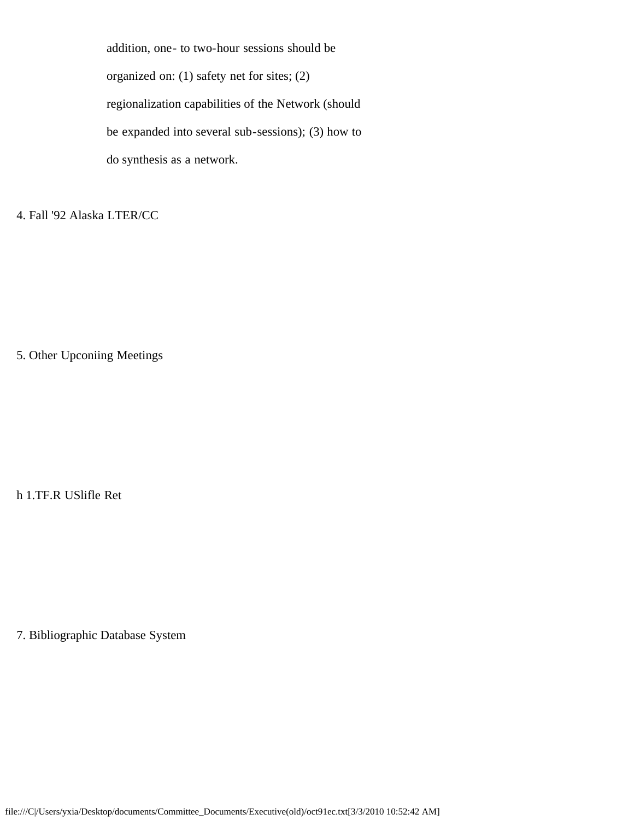addition, one- to two-hour sessions should be organized on: (1) safety net for sites; (2) regionalization capabilities of the Network (should be expanded into several sub-sessions); (3) how to do synthesis as a network.

4. Fall '92 Alaska LTER/CC

5. Other Upconiing Meetings

h 1.TF.R USlifle Ret

7. Bibliographic Database System

file:///C|/Users/yxia/Desktop/documents/Committee\_Documents/Executive(old)/oct91ec.txt[3/3/2010 10:52:42 AM]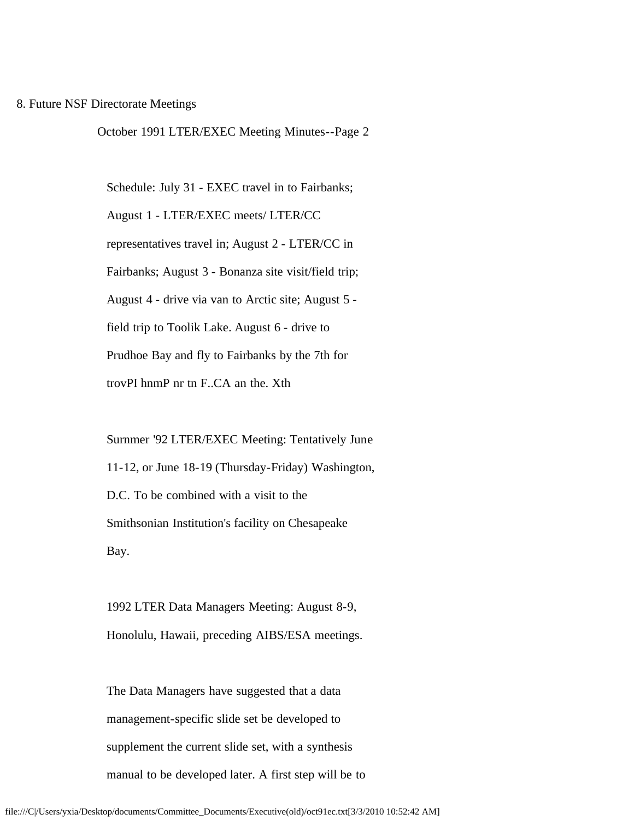## 8. Future NSF Directorate Meetings

October 1991 LTER/EXEC Meeting Minutes--Page 2

 Schedule: July 31 - EXEC travel in to Fairbanks; August 1 - LTER/EXEC meets/ LTER/CC representatives travel in; August 2 - LTER/CC in Fairbanks; August 3 - Bonanza site visit/field trip; August 4 - drive via van to Arctic site; August 5 field trip to Toolik Lake. August 6 - drive to Prudhoe Bay and fly to Fairbanks by the 7th for trovPI hnmP nr tn F..CA an the. Xth

 Surnmer '92 LTER/EXEC Meeting: Tentatively June 11-12, or June 18-19 (Thursday-Friday) Washington, D.C. To be combined with a visit to the Smithsonian Institution's facility on Chesapeake Bay.

 1992 LTER Data Managers Meeting: August 8-9, Honolulu, Hawaii, preceding AIBS/ESA meetings.

 The Data Managers have suggested that a data management-specific slide set be developed to supplement the current slide set, with a synthesis manual to be developed later. A first step will be to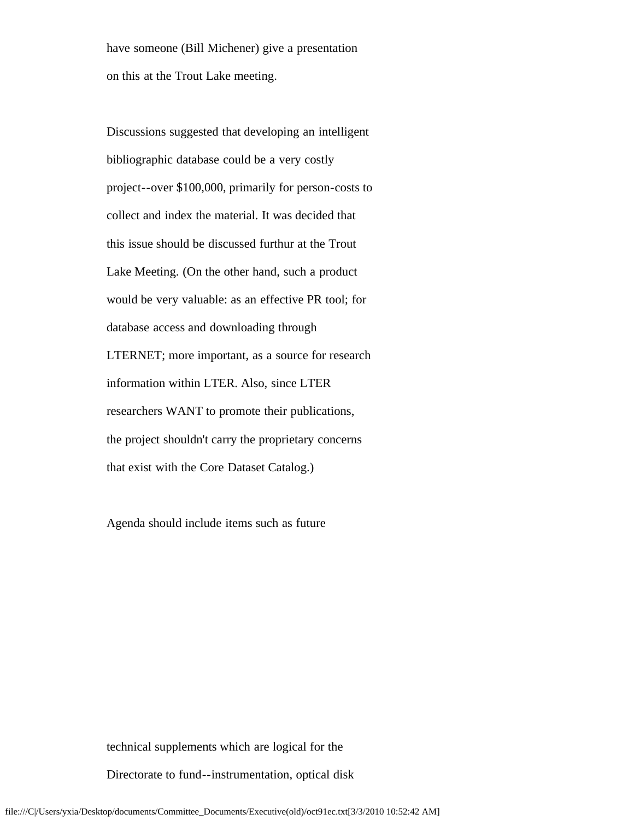have someone (Bill Michener) give a presentation on this at the Trout Lake meeting.

 Discussions suggested that developing an intelligent bibliographic database could be a very costly project--over \$100,000, primarily for person-costs to collect and index the material. It was decided that this issue should be discussed furthur at the Trout Lake Meeting. (On the other hand, such a product would be very valuable: as an effective PR tool; for database access and downloading through LTERNET; more important, as a source for research information within LTER. Also, since LTER researchers WANT to promote their publications, the project shouldn't carry the proprietary concerns that exist with the Core Dataset Catalog.)

Agenda should include items such as future

technical supplements which are logical for the

Directorate to fund--instrumentation, optical disk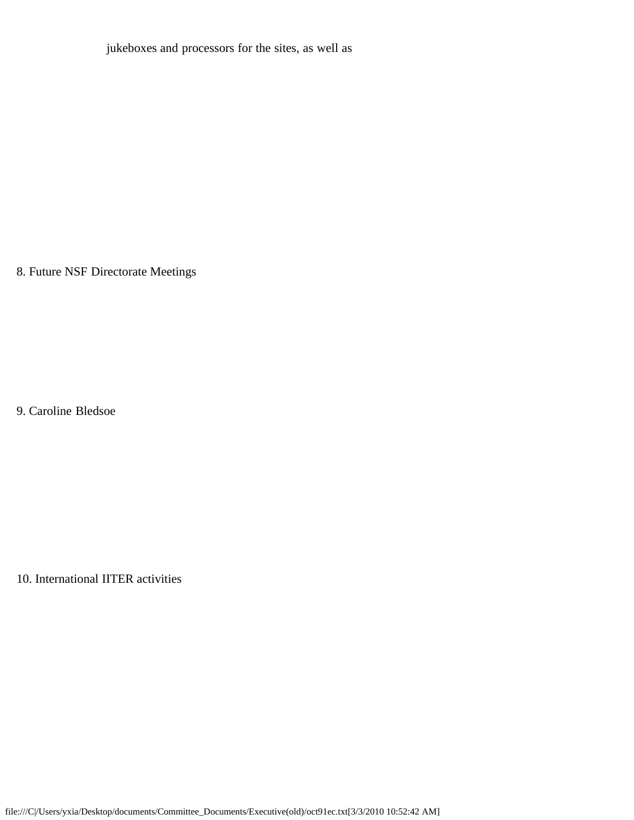jukeboxes and processors for the sites, as well as

8. Future NSF Directorate Meetings

9. Caroline Bledsoe

10. International IITER activities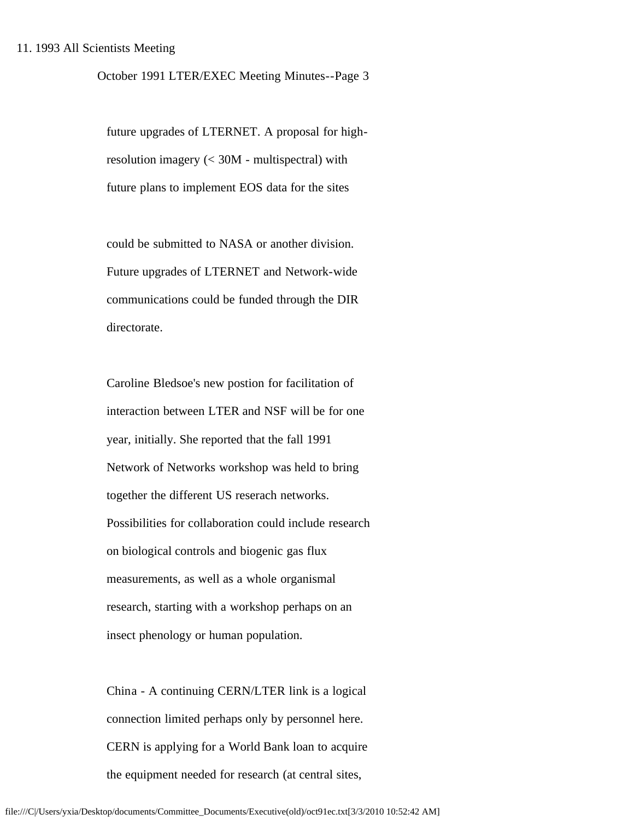October 1991 LTER/EXEC Meeting Minutes--Page 3

 future upgrades of LTERNET. A proposal for high resolution imagery (< 30M - multispectral) with future plans to implement EOS data for the sites

 could be submitted to NASA or another division. Future upgrades of LTERNET and Network-wide communications could be funded through the DIR directorate.

 Caroline Bledsoe's new postion for facilitation of interaction between LTER and NSF will be for one year, initially. She reported that the fall 1991 Network of Networks workshop was held to bring together the different US reserach networks. Possibilities for collaboration could include research on biological controls and biogenic gas flux measurements, as well as a whole organismal research, starting with a workshop perhaps on an insect phenology or human population.

 China - A continuing CERN/LTER link is a logical connection limited perhaps only by personnel here. CERN is applying for a World Bank loan to acquire the equipment needed for research (at central sites,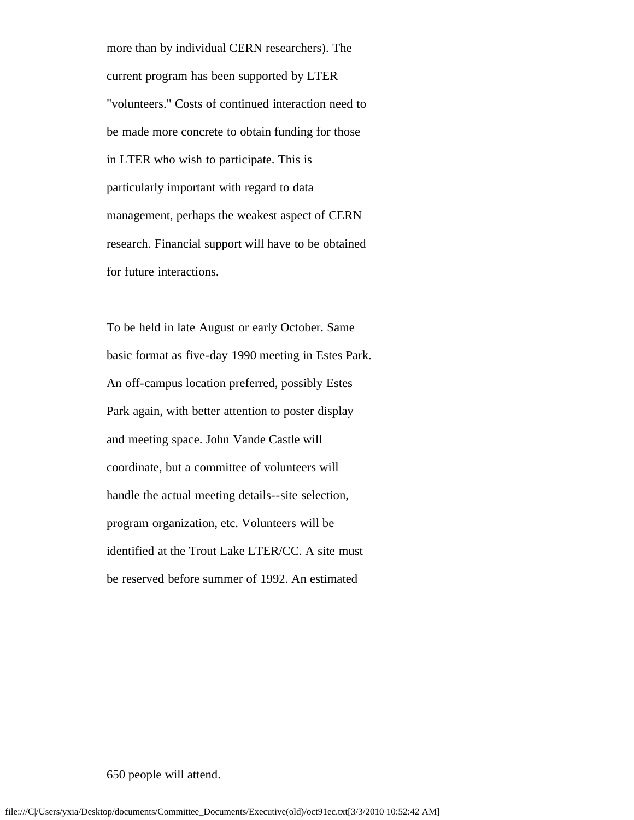more than by individual CERN researchers). The current program has been supported by LTER "volunteers." Costs of continued interaction need to be made more concrete to obtain funding for those in LTER who wish to participate. This is particularly important with regard to data management, perhaps the weakest aspect of CERN research. Financial support will have to be obtained for future interactions.

 To be held in late August or early October. Same basic format as five-day 1990 meeting in Estes Park. An off-campus location preferred, possibly Estes Park again, with better attention to poster display and meeting space. John Vande Castle will coordinate, but a committee of volunteers will handle the actual meeting details--site selection, program organization, etc. Volunteers will be identified at the Trout Lake LTER/CC. A site must be reserved before summer of 1992. An estimated

650 people will attend.